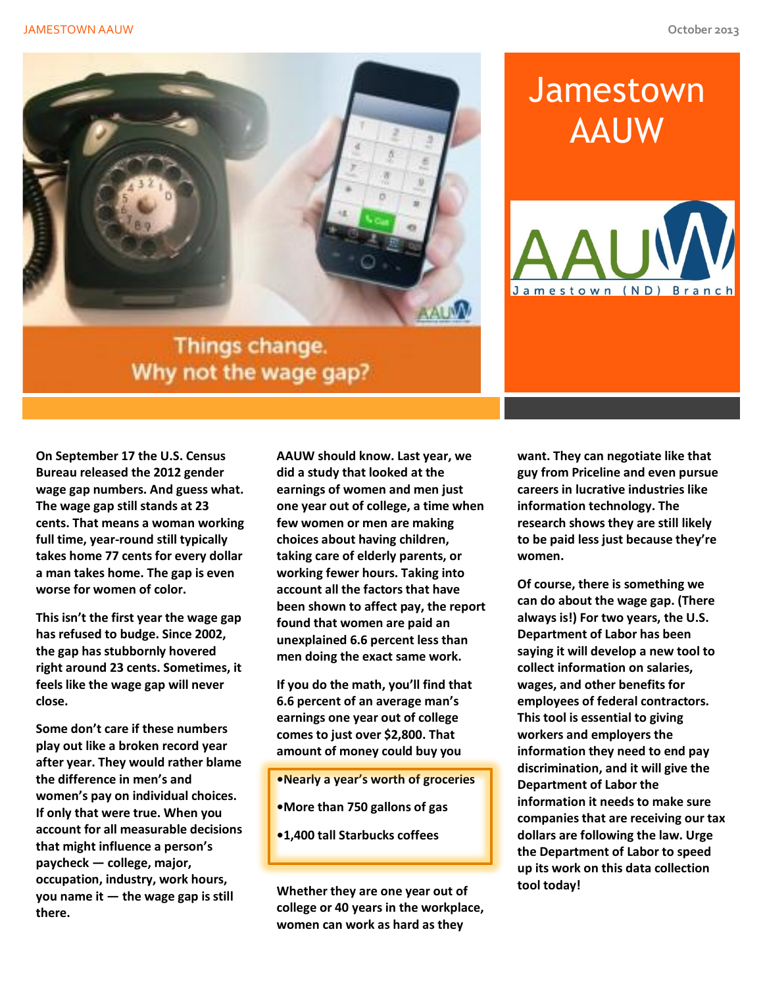

#### Things change. Why not the wage gap?

## **Jamestown** AAUW



**On September 17 the U.S. Census Bureau released the 2012 gender wage gap numbers. And guess what. The wage gap still stands at 23 cents. That means a woman working full time, year-round still typically takes home 77 cents for every dollar a man takes home. The gap is even worse for women of color.**

**This isn't the first year the wage gap has refused to budge. Since 2002, the gap has stubbornly hovered right around 23 cents. Sometimes, it feels like the wage gap will never close.**

**Some don't care if these numbers play out like a broken record year after year. They would rather blame the difference in men's and women's pay on individual choices. If only that were true. When you account for all measurable decisions that might influence a person's paycheck — college, major, occupation, industry, work hours, you name it — the wage gap is still there.**

**AAUW should know. Last year, we did a study that looked at the earnings of women and men just one year out of college, a time when few women or men are making choices about having children, taking care of elderly parents, or working fewer hours. Taking into account all the factors that have been shown to affect pay, the report found that women are paid an unexplained 6.6 percent less than men doing the exact same work.**

**If you do the math, you'll find that 6.6 percent of an average man's earnings one year out of college comes to just over \$2,800. That amount of money could buy you**

- **•Nearly a year's worth of groceries**
- **•More than 750 gallons of gas**
- **•1,400 tall Starbucks coffees**

**Whether they are one year out of college or 40 years in the workplace, women can work as hard as they** 

**want. They can negotiate like that guy from Priceline and even pursue careers in lucrative industries like information technology. The research shows they are still likely to be paid less just because they're women.**

**Of course, there is something we can do about the wage gap. (There always is!) For two years, the U.S. Department of Labor has been saying it will develop a new tool to collect information on salaries, wages, and other benefits for employees of federal contractors. This tool is essential to giving workers and employers the information they need to end pay discrimination, and it will give the Department of Labor the information it needs to make sure companies that are receiving our tax dollars are following the law. Urge the Department of Labor to speed up its work on this data collection tool today!**